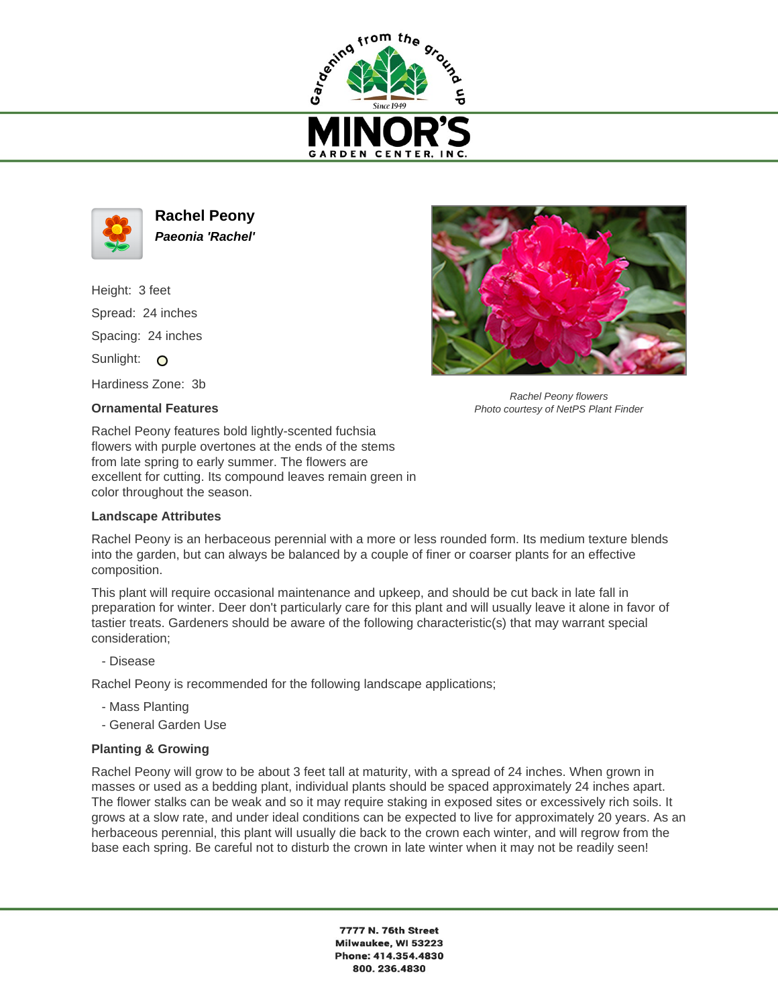



**Rachel Peony Paeonia 'Rachel'**

Height: 3 feet Spread: 24 inches Spacing: 24 inches Sunlight: O Hardiness Zone: 3b

## **Ornamental Features**



Rachel Peony flowers Photo courtesy of NetPS Plant Finder

Rachel Peony features bold lightly-scented fuchsia flowers with purple overtones at the ends of the stems from late spring to early summer. The flowers are excellent for cutting. Its compound leaves remain green in color throughout the season.

## **Landscape Attributes**

Rachel Peony is an herbaceous perennial with a more or less rounded form. Its medium texture blends into the garden, but can always be balanced by a couple of finer or coarser plants for an effective composition.

This plant will require occasional maintenance and upkeep, and should be cut back in late fall in preparation for winter. Deer don't particularly care for this plant and will usually leave it alone in favor of tastier treats. Gardeners should be aware of the following characteristic(s) that may warrant special consideration;

- Disease

Rachel Peony is recommended for the following landscape applications;

- Mass Planting
- General Garden Use

## **Planting & Growing**

Rachel Peony will grow to be about 3 feet tall at maturity, with a spread of 24 inches. When grown in masses or used as a bedding plant, individual plants should be spaced approximately 24 inches apart. The flower stalks can be weak and so it may require staking in exposed sites or excessively rich soils. It grows at a slow rate, and under ideal conditions can be expected to live for approximately 20 years. As an herbaceous perennial, this plant will usually die back to the crown each winter, and will regrow from the base each spring. Be careful not to disturb the crown in late winter when it may not be readily seen!

> 7777 N. 76th Street Milwaukee, WI 53223 Phone: 414.354.4830 800.236.4830